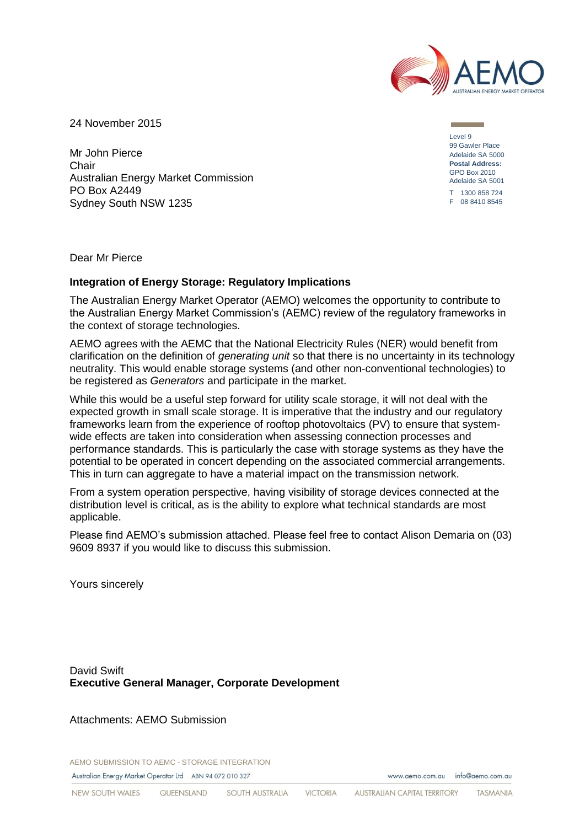

**Contract Contract** 

24 November 2015

Mr John Pierce **Chair** Australian Energy Market Commission PO Box A2449 Sydney South NSW 1235

Level 9 99 Gawler Place Adelaide SA 5000 **Postal Address:** GPO Box 2010 Adelaide SA 5001 T 1300 858 724 F 08 8410 8545

Dear Mr Pierce

#### **Integration of Energy Storage: Regulatory Implications**

The Australian Energy Market Operator (AEMO) welcomes the opportunity to contribute to the Australian Energy Market Commission's (AEMC) review of the regulatory frameworks in the context of storage technologies.

AEMO agrees with the AEMC that the National Electricity Rules (NER) would benefit from clarification on the definition of *generating unit* so that there is no uncertainty in its technology neutrality. This would enable storage systems (and other non-conventional technologies) to be registered as *Generators* and participate in the market.

While this would be a useful step forward for utility scale storage, it will not deal with the expected growth in small scale storage. It is imperative that the industry and our regulatory frameworks learn from the experience of rooftop photovoltaics (PV) to ensure that systemwide effects are taken into consideration when assessing connection processes and performance standards. This is particularly the case with storage systems as they have the potential to be operated in concert depending on the associated commercial arrangements. This in turn can aggregate to have a material impact on the transmission network.

From a system operation perspective, having visibility of storage devices connected at the distribution level is critical, as is the ability to explore what technical standards are most applicable.

Please find AEMO's submission attached. Please feel free to contact Alison Demaria on (03) 9609 8937 if you would like to discuss this submission.

Yours sincerely

David Swift **Executive General Manager, Corporate Development**

Attachments: AEMO Submission

AEMO SUBMISSION TO AEMC - STORAGE INTEGRATION Australian Energy Market Operator Ltd ABN 94 072 010 327

www.gemo.com.gu info@gemo.com.gu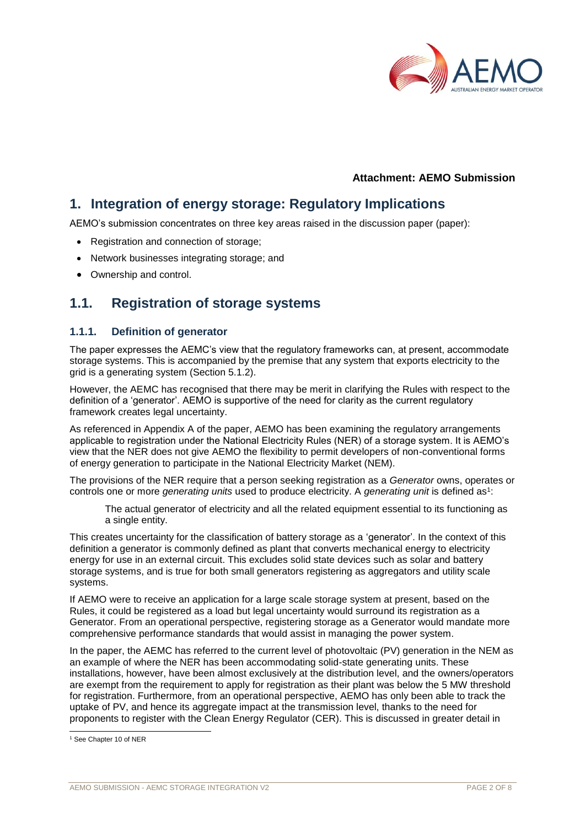

## **Attachment: AEMO Submission**

## **1. Integration of energy storage: Regulatory Implications**

AEMO's submission concentrates on three key areas raised in the discussion paper (paper):

- Registration and connection of storage;
- Network businesses integrating storage; and
- Ownership and control.

## **1.1. Registration of storage systems**

#### **1.1.1. Definition of generator**

The paper expresses the AEMC's view that the regulatory frameworks can, at present, accommodate storage systems. This is accompanied by the premise that any system that exports electricity to the grid is a generating system (Section 5.1.2).

However, the AEMC has recognised that there may be merit in clarifying the Rules with respect to the definition of a 'generator'. AEMO is supportive of the need for clarity as the current regulatory framework creates legal uncertainty.

As referenced in Appendix A of the paper, AEMO has been examining the regulatory arrangements applicable to registration under the National Electricity Rules (NER) of a storage system. It is AEMO's view that the NER does not give AEMO the flexibility to permit developers of non-conventional forms of energy generation to participate in the National Electricity Market (NEM).

The provisions of the NER require that a person seeking registration as a *Generator* owns, operates or controls one or more *generating units* used to produce electricity. A *generating unit* is defined as<sup>1</sup>:

The actual generator of electricity and all the related equipment essential to its functioning as a single entity.

This creates uncertainty for the classification of battery storage as a 'generator'. In the context of this definition a generator is commonly defined as plant that converts mechanical energy to electricity energy for use in an external circuit. This excludes solid state devices such as solar and battery storage systems, and is true for both small generators registering as aggregators and utility scale systems.

If AEMO were to receive an application for a large scale storage system at present, based on the Rules, it could be registered as a load but legal uncertainty would surround its registration as a Generator. From an operational perspective, registering storage as a Generator would mandate more comprehensive performance standards that would assist in managing the power system.

In the paper, the AEMC has referred to the current level of photovoltaic (PV) generation in the NEM as an example of where the NER has been accommodating solid-state generating units. These installations, however, have been almost exclusively at the distribution level, and the owners/operators are exempt from the requirement to apply for registration as their plant was below the 5 MW threshold for registration. Furthermore, from an operational perspective, AEMO has only been able to track the uptake of PV, and hence its aggregate impact at the transmission level, thanks to the need for proponents to register with the Clean Energy Regulator (CER). This is discussed in greater detail in

l

<sup>1</sup> See Chapter 10 of NER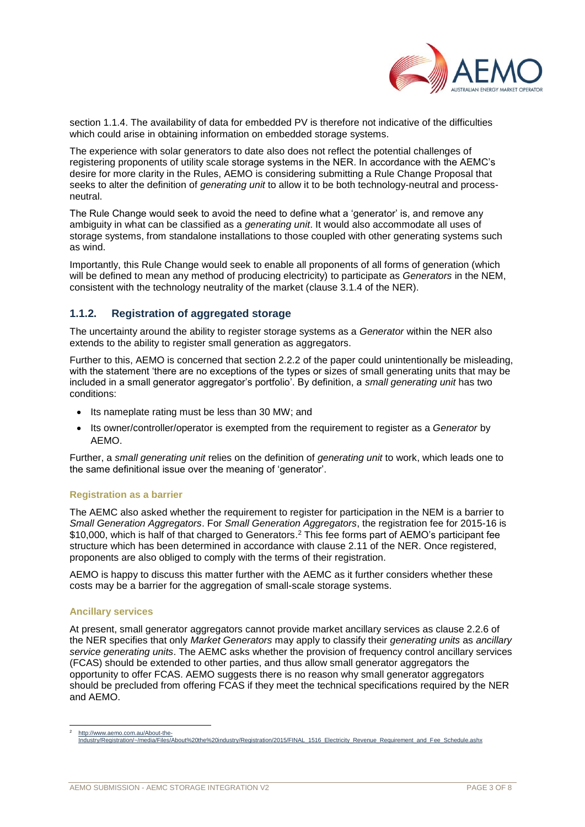

section [1.1.4.](#page-4-0) The availability of data for embedded PV is therefore not indicative of the difficulties which could arise in obtaining information on embedded storage systems.

The experience with solar generators to date also does not reflect the potential challenges of registering proponents of utility scale storage systems in the NER. In accordance with the AEMC's desire for more clarity in the Rules, AEMO is considering submitting a Rule Change Proposal that seeks to alter the definition of *generating unit* to allow it to be both technology-neutral and processneutral.

The Rule Change would seek to avoid the need to define what a 'generator' is, and remove any ambiguity in what can be classified as a *generating unit*. It would also accommodate all uses of storage systems, from standalone installations to those coupled with other generating systems such as wind.

Importantly, this Rule Change would seek to enable all proponents of all forms of generation (which will be defined to mean any method of producing electricity) to participate as *Generators* in the NEM, consistent with the technology neutrality of the market (clause 3.1.4 of the NER).

## **1.1.2. Registration of aggregated storage**

The uncertainty around the ability to register storage systems as a *Generator* within the NER also extends to the ability to register small generation as aggregators.

Further to this, AEMO is concerned that section 2.2.2 of the paper could unintentionally be misleading, with the statement 'there are no exceptions of the types or sizes of small generating units that may be included in a small generator aggregator's portfolio'. By definition, a *small generating unit* has two conditions:

- Its nameplate rating must be less than 30 MW; and
- Its owner/controller/operator is exempted from the requirement to register as a *Generator* by AEMO.

Further, a *small generating unit* relies on the definition of *generating unit* to work, which leads one to the same definitional issue over the meaning of 'generator'.

#### **Registration as a barrier**

The AEMC also asked whether the requirement to register for participation in the NEM is a barrier to *Small Generation Aggregators*. For *Small Generation Aggregators*, the registration fee for 2015-16 is \$10,000, which is half of that charged to Generators.<sup>2</sup> This fee forms part of AEMO's participant fee structure which has been determined in accordance with clause 2.11 of the NER. Once registered, proponents are also obliged to comply with the terms of their registration.

AEMO is happy to discuss this matter further with the AEMC as it further considers whether these costs may be a barrier for the aggregation of small-scale storage systems.

#### **Ancillary services**

l

At present, small generator aggregators cannot provide market ancillary services as clause 2.2.6 of the NER specifies that only *Market Generators* may apply to classify their *generating units* as *ancillary service generating units*. The AEMC asks whether the provision of frequency control ancillary services (FCAS) should be extended to other parties, and thus allow small generator aggregators the opportunity to offer FCAS. AEMO suggests there is no reason why small generator aggregators should be precluded from offering FCAS if they meet the technical specifications required by the NER and AEMO.

[http://www.aemo.com.au/About-the-](http://www.aemo.com.au/About-the-Industry/Registration/~/media/Files/About%20the%20industry/Registration/2015/FINAL_1516_Electricity_Revenue_Requirement_and_Fee_Schedule.ashx)[Industry/Registration/~/media/Files/About%20the%20industry/Registration/2015/FINAL\\_1516\\_Electricity\\_Revenue\\_Requirement\\_and\\_Fee\\_Schedule.ashx](http://www.aemo.com.au/About-the-Industry/Registration/~/media/Files/About%20the%20industry/Registration/2015/FINAL_1516_Electricity_Revenue_Requirement_and_Fee_Schedule.ashx)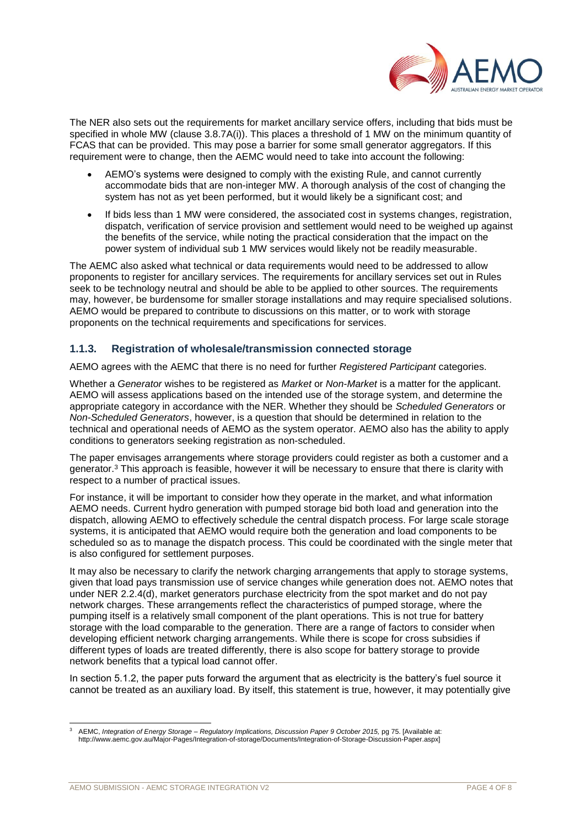

The NER also sets out the requirements for market ancillary service offers, including that bids must be specified in whole MW (clause 3.8.7A(i)). This places a threshold of 1 MW on the minimum quantity of FCAS that can be provided. This may pose a barrier for some small generator aggregators. If this requirement were to change, then the AEMC would need to take into account the following:

- AEMO's systems were designed to comply with the existing Rule, and cannot currently accommodate bids that are non-integer MW. A thorough analysis of the cost of changing the system has not as yet been performed, but it would likely be a significant cost; and
- If bids less than 1 MW were considered, the associated cost in systems changes, registration, dispatch, verification of service provision and settlement would need to be weighed up against the benefits of the service, while noting the practical consideration that the impact on the power system of individual sub 1 MW services would likely not be readily measurable.

The AEMC also asked what technical or data requirements would need to be addressed to allow proponents to register for ancillary services. The requirements for ancillary services set out in Rules seek to be technology neutral and should be able to be applied to other sources. The requirements may, however, be burdensome for smaller storage installations and may require specialised solutions. AEMO would be prepared to contribute to discussions on this matter, or to work with storage proponents on the technical requirements and specifications for services.

## **1.1.3. Registration of wholesale/transmission connected storage**

AEMO agrees with the AEMC that there is no need for further *Registered Participant* categories.

Whether a *Generator* wishes to be registered as *Market* or *Non-Market* is a matter for the applicant. AEMO will assess applications based on the intended use of the storage system, and determine the appropriate category in accordance with the NER. Whether they should be *Scheduled Generators* or *Non-Scheduled Generators*, however, is a question that should be determined in relation to the technical and operational needs of AEMO as the system operator. AEMO also has the ability to apply conditions to generators seeking registration as non-scheduled.

The paper envisages arrangements where storage providers could register as both a customer and a generator.<sup>3</sup> This approach is feasible, however it will be necessary to ensure that there is clarity with respect to a number of practical issues.

For instance, it will be important to consider how they operate in the market, and what information AEMO needs. Current hydro generation with pumped storage bid both load and generation into the dispatch, allowing AEMO to effectively schedule the central dispatch process. For large scale storage systems, it is anticipated that AEMO would require both the generation and load components to be scheduled so as to manage the dispatch process. This could be coordinated with the single meter that is also configured for settlement purposes.

It may also be necessary to clarify the network charging arrangements that apply to storage systems, given that load pays transmission use of service changes while generation does not. AEMO notes that under NER 2.2.4(d), market generators purchase electricity from the spot market and do not pay network charges. These arrangements reflect the characteristics of pumped storage, where the pumping itself is a relatively small component of the plant operations. This is not true for battery storage with the load comparable to the generation. There are a range of factors to consider when developing efficient network charging arrangements. While there is scope for cross subsidies if different types of loads are treated differently, there is also scope for battery storage to provide network benefits that a typical load cannot offer.

In section 5.1.2, the paper puts forward the argument that as electricity is the battery's fuel source it cannot be treated as an auxiliary load. By itself, this statement is true, however, it may potentially give

l <sup>3</sup> AEMC, *Integration of Energy Storage – Regulatory Implications, Discussion Paper 9 October 2015,* pg 75. [Available at: http://www.aemc.gov.au/Major-Pages/Integration-of-storage/Documents/Integration-of-Storage-Discussion-Paper.aspx]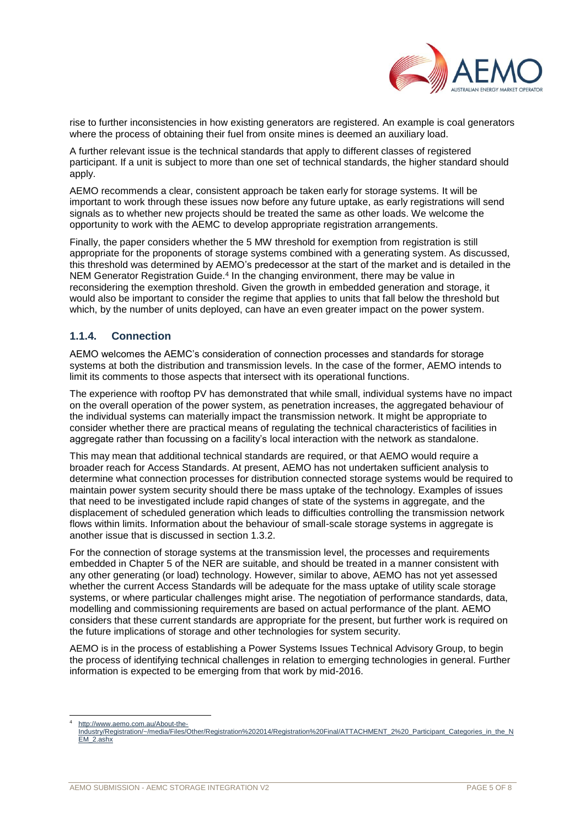

rise to further inconsistencies in how existing generators are registered. An example is coal generators where the process of obtaining their fuel from onsite mines is deemed an auxiliary load.

A further relevant issue is the technical standards that apply to different classes of registered participant. If a unit is subject to more than one set of technical standards, the higher standard should apply.

AEMO recommends a clear, consistent approach be taken early for storage systems. It will be important to work through these issues now before any future uptake, as early registrations will send signals as to whether new projects should be treated the same as other loads. We welcome the opportunity to work with the AEMC to develop appropriate registration arrangements.

Finally, the paper considers whether the 5 MW threshold for exemption from registration is still appropriate for the proponents of storage systems combined with a generating system. As discussed, this threshold was determined by AEMO's predecessor at the start of the market and is detailed in the NEM Generator Registration Guide.<sup>4</sup> In the changing environment, there may be value in reconsidering the exemption threshold. Given the growth in embedded generation and storage, it would also be important to consider the regime that applies to units that fall below the threshold but which, by the number of units deployed, can have an even greater impact on the power system.

## <span id="page-4-0"></span>**1.1.4. Connection**

AEMO welcomes the AEMC's consideration of connection processes and standards for storage systems at both the distribution and transmission levels. In the case of the former, AEMO intends to limit its comments to those aspects that intersect with its operational functions.

The experience with rooftop PV has demonstrated that while small, individual systems have no impact on the overall operation of the power system, as penetration increases, the aggregated behaviour of the individual systems can materially impact the transmission network. It might be appropriate to consider whether there are practical means of regulating the technical characteristics of facilities in aggregate rather than focussing on a facility's local interaction with the network as standalone.

This may mean that additional technical standards are required, or that AEMO would require a broader reach for Access Standards. At present, AEMO has not undertaken sufficient analysis to determine what connection processes for distribution connected storage systems would be required to maintain power system security should there be mass uptake of the technology. Examples of issues that need to be investigated include rapid changes of state of the systems in aggregate, and the displacement of scheduled generation which leads to difficulties controlling the transmission network flows within limits. Information about the behaviour of small-scale storage systems in aggregate is another issue that is discussed in section [1.3.2.](#page-6-0)

For the connection of storage systems at the transmission level, the processes and requirements embedded in Chapter 5 of the NER are suitable, and should be treated in a manner consistent with any other generating (or load) technology. However, similar to above, AEMO has not yet assessed whether the current Access Standards will be adequate for the mass uptake of utility scale storage systems, or where particular challenges might arise. The negotiation of performance standards, data, modelling and commissioning requirements are based on actual performance of the plant. AEMO considers that these current standards are appropriate for the present, but further work is required on the future implications of storage and other technologies for system security.

AEMO is in the process of establishing a Power Systems Issues Technical Advisory Group, to begin the process of identifying technical challenges in relation to emerging technologies in general. Further information is expected to be emerging from that work by mid-2016.

l [http://www.aemo.com.au/About-the-](http://www.aemo.com.au/About-the-Industry/Registration/~/media/Files/Other/Registration%202014/Registration%20Final/ATTACHMENT_2%20_Participant_Categories_in_the_NEM_2.ashx)

[Industry/Registration/~/media/Files/Other/Registration%202014/Registration%20Final/ATTACHMENT\\_2%20\\_Participant\\_Categories\\_in\\_the\\_N](http://www.aemo.com.au/About-the-Industry/Registration/~/media/Files/Other/Registration%202014/Registration%20Final/ATTACHMENT_2%20_Participant_Categories_in_the_NEM_2.ashx) [EM\\_2.ashx](http://www.aemo.com.au/About-the-Industry/Registration/~/media/Files/Other/Registration%202014/Registration%20Final/ATTACHMENT_2%20_Participant_Categories_in_the_NEM_2.ashx)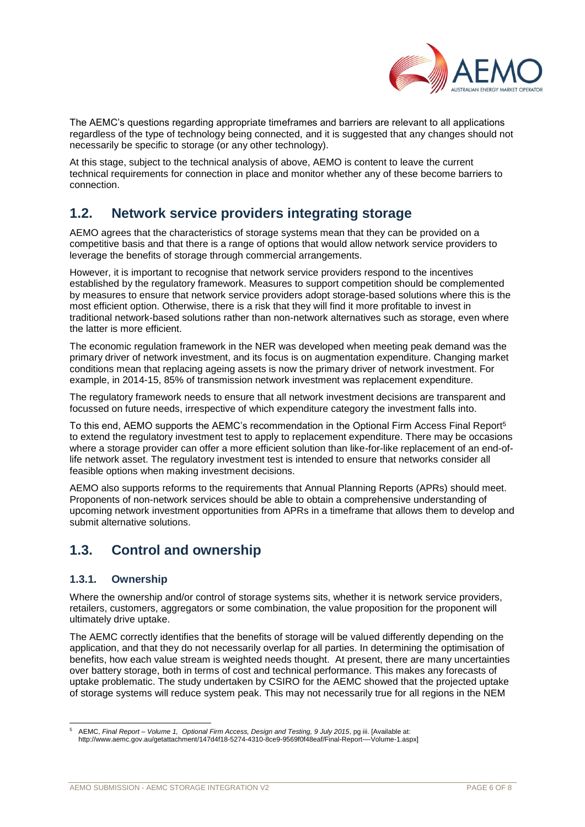

The AEMC's questions regarding appropriate timeframes and barriers are relevant to all applications regardless of the type of technology being connected, and it is suggested that any changes should not necessarily be specific to storage (or any other technology).

At this stage, subject to the technical analysis of above, AEMO is content to leave the current technical requirements for connection in place and monitor whether any of these become barriers to connection.

## **1.2. Network service providers integrating storage**

AEMO agrees that the characteristics of storage systems mean that they can be provided on a competitive basis and that there is a range of options that would allow network service providers to leverage the benefits of storage through commercial arrangements.

However, it is important to recognise that network service providers respond to the incentives established by the regulatory framework. Measures to support competition should be complemented by measures to ensure that network service providers adopt storage-based solutions where this is the most efficient option. Otherwise, there is a risk that they will find it more profitable to invest in traditional network-based solutions rather than non-network alternatives such as storage, even where the latter is more efficient.

The economic regulation framework in the NER was developed when meeting peak demand was the primary driver of network investment, and its focus is on augmentation expenditure. Changing market conditions mean that replacing ageing assets is now the primary driver of network investment. For example, in 2014-15, 85% of transmission network investment was replacement expenditure.

The regulatory framework needs to ensure that all network investment decisions are transparent and focussed on future needs, irrespective of which expenditure category the investment falls into.

To this end, AEMO supports the AEMC's recommendation in the Optional Firm Access Final Report<sup>5</sup> to extend the regulatory investment test to apply to replacement expenditure. There may be occasions where a storage provider can offer a more efficient solution than like-for-like replacement of an end-oflife network asset. The regulatory investment test is intended to ensure that networks consider all feasible options when making investment decisions.

AEMO also supports reforms to the requirements that Annual Planning Reports (APRs) should meet. Proponents of non-network services should be able to obtain a comprehensive understanding of upcoming network investment opportunities from APRs in a timeframe that allows them to develop and submit alternative solutions.

# **1.3. Control and ownership**

## **1.3.1. Ownership**

Where the ownership and/or control of storage systems sits, whether it is network service providers, retailers, customers, aggregators or some combination, the value proposition for the proponent will ultimately drive uptake.

The AEMC correctly identifies that the benefits of storage will be valued differently depending on the application, and that they do not necessarily overlap for all parties. In determining the optimisation of benefits, how each value stream is weighted needs thought. At present, there are many uncertainties over battery storage, both in terms of cost and technical performance. This makes any forecasts of uptake problematic. The study undertaken by CSIRO for the AEMC showed that the projected uptake of storage systems will reduce system peak. This may not necessarily true for all regions in the NEM

l <sup>5</sup> AEMC, *Final Report – Volume 1, Optional Firm Access, Design and Testing, 9 July 2015*, pg iii. [Available at: http://www.aemc.gov.au/getattachment/147d4f18-5274-4310-8ce9-9569f0f48eaf/Final-Report-–-Volume-1.aspx]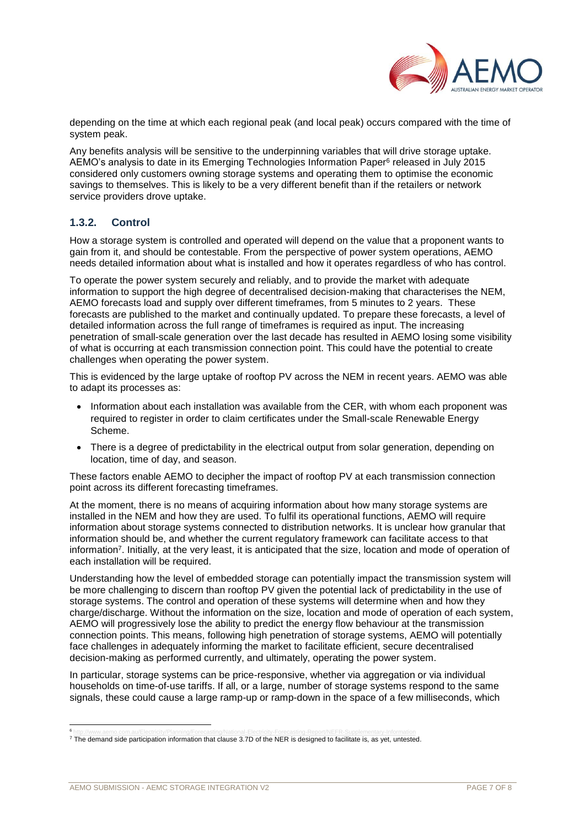

depending on the time at which each regional peak (and local peak) occurs compared with the time of system peak.

Any benefits analysis will be sensitive to the underpinning variables that will drive storage uptake. AEMO's analysis to date in its Emerging Technologies Information Paper<sup>6</sup> released in July 2015 considered only customers owning storage systems and operating them to optimise the economic savings to themselves. This is likely to be a very different benefit than if the retailers or network service providers drove uptake.

## <span id="page-6-0"></span>**1.3.2. Control**

How a storage system is controlled and operated will depend on the value that a proponent wants to gain from it, and should be contestable. From the perspective of power system operations, AEMO needs detailed information about what is installed and how it operates regardless of who has control.

To operate the power system securely and reliably, and to provide the market with adequate information to support the high degree of decentralised decision-making that characterises the NEM, AEMO forecasts load and supply over different timeframes, from 5 minutes to 2 years. These forecasts are published to the market and continually updated. To prepare these forecasts, a level of detailed information across the full range of timeframes is required as input. The increasing penetration of small-scale generation over the last decade has resulted in AEMO losing some visibility of what is occurring at each transmission connection point. This could have the potential to create challenges when operating the power system.

This is evidenced by the large uptake of rooftop PV across the NEM in recent years. AEMO was able to adapt its processes as:

- Information about each installation was available from the CER, with whom each proponent was required to register in order to claim certificates under the Small-scale Renewable Energy Scheme.
- There is a degree of predictability in the electrical output from solar generation, depending on location, time of day, and season.

These factors enable AEMO to decipher the impact of rooftop PV at each transmission connection point across its different forecasting timeframes.

At the moment, there is no means of acquiring information about how many storage systems are installed in the NEM and how they are used. To fulfil its operational functions, AEMO will require information about storage systems connected to distribution networks. It is unclear how granular that information should be, and whether the current regulatory framework can facilitate access to that information<sup>7</sup>. Initially, at the very least, it is anticipated that the size, location and mode of operation of each installation will be required.

Understanding how the level of embedded storage can potentially impact the transmission system will be more challenging to discern than rooftop PV given the potential lack of predictability in the use of storage systems. The control and operation of these systems will determine when and how they charge/discharge. Without the information on the size, location and mode of operation of each system, AEMO will progressively lose the ability to predict the energy flow behaviour at the transmission connection points. This means, following high penetration of storage systems, AEMO will potentially face challenges in adequately informing the market to facilitate efficient, secure decentralised decision-making as performed currently, and ultimately, operating the power system.

In particular, storage systems can be price-responsive, whether via aggregation or via individual households on time-of-use tariffs. If all, or a large, number of storage systems respond to the same signals, these could cause a large ramp-up or ramp-down in the space of a few milliseconds, which

l 6

<sup>&</sup>lt;sup>s</sup> <http://www.aemo.com.au/Electricity/Planning/Forecasting/National-Electricity-Forecasting-Report/NEFR-Supplementary-Information><br><sup>7</sup> The demand side participation information that clause 3.7D of the NER is designed to f